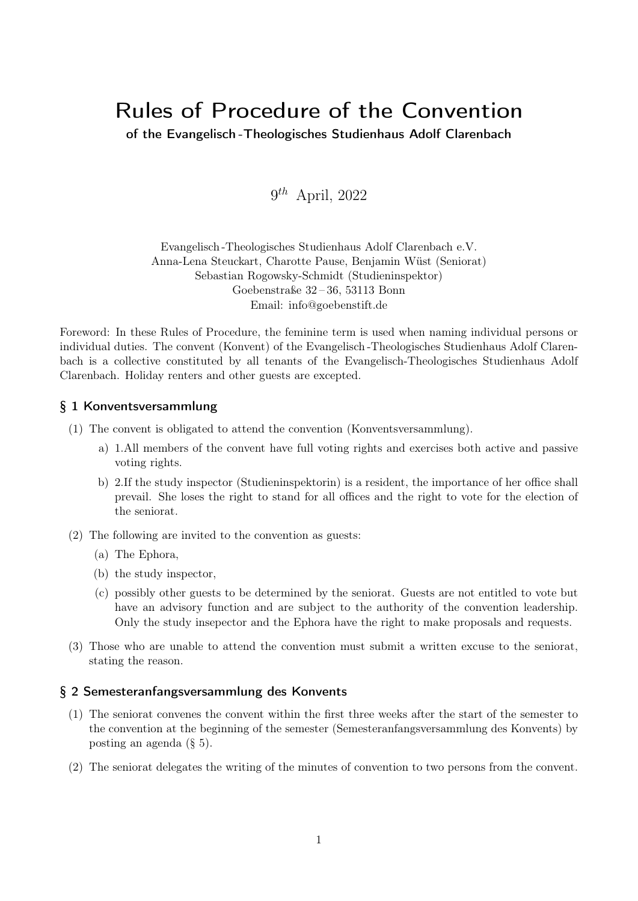# Rules of Procedure of the Convention

of the Evangelisch -Theologisches Studienhaus Adolf Clarenbach

 $9^{th}$  April, 2022

Evangelisch -Theologisches Studienhaus Adolf Clarenbach e.V. Anna-Lena Steuckart, Charotte Pause, Benjamin Wüst (Seniorat) Sebastian Rogowsky-Schmidt (Studieninspektor) Goebenstraße 32 – 36, 53113 Bonn Email: info@goebenstift.de

Foreword: In these Rules of Procedure, the feminine term is used when naming individual persons or individual duties. The convent (Konvent) of the Evangelisch -Theologisches Studienhaus Adolf Clarenbach is a collective constituted by all tenants of the Evangelisch-Theologisches Studienhaus Adolf Clarenbach. Holiday renters and other guests are excepted.

## § 1 Konventsversammlung

- (1) The convent is obligated to attend the convention (Konventsversammlung).
	- a) 1.All members of the convent have full voting rights and exercises both active and passive voting rights.
	- b) 2.If the study inspector (Studieninspektorin) is a resident, the importance of her office shall prevail. She loses the right to stand for all offices and the right to vote for the election of the seniorat.
- (2) The following are invited to the convention as guests:
	- (a) The Ephora,
	- (b) the study inspector,
	- (c) possibly other guests to be determined by the seniorat. Guests are not entitled to vote but have an advisory function and are subject to the authority of the convention leadership. Only the study insepector and the Ephora have the right to make proposals and requests.
- (3) Those who are unable to attend the convention must submit a written excuse to the seniorat, stating the reason.

#### § 2 Semesteranfangsversammlung des Konvents

- (1) The seniorat convenes the convent within the first three weeks after the start of the semester to the convention at the beginning of the semester (Semesteranfangsversammlung des Konvents) by posting an agenda (§ 5).
- (2) The seniorat delegates the writing of the minutes of convention to two persons from the convent.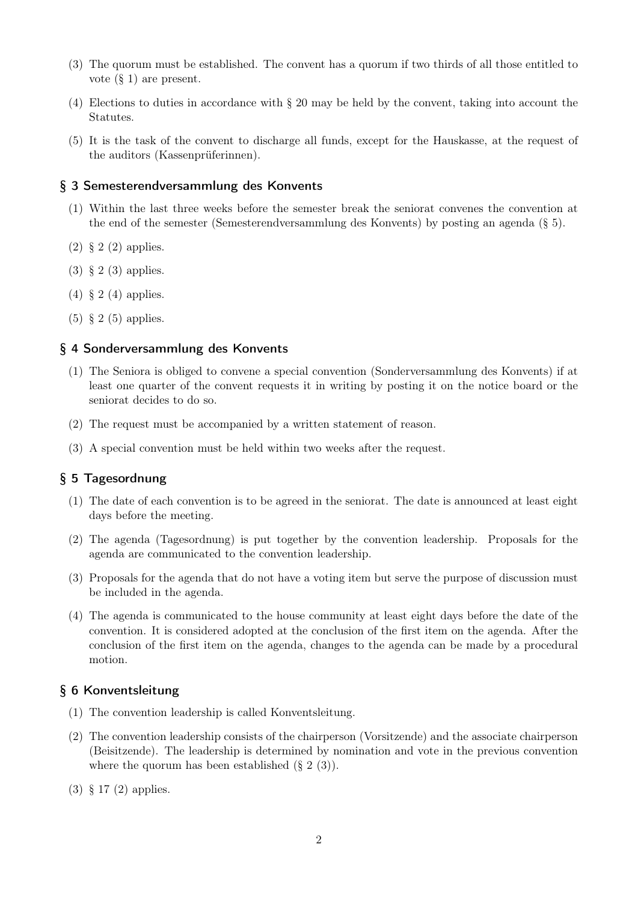- (3) The quorum must be established. The convent has a quorum if two thirds of all those entitled to vote (§ 1) are present.
- (4) Elections to duties in accordance with § 20 may be held by the convent, taking into account the Statutes.
- (5) It is the task of the convent to discharge all funds, except for the Hauskasse, at the request of the auditors (Kassenprüferinnen).

#### § 3 Semesterendversammlung des Konvents

- (1) Within the last three weeks before the semester break the seniorat convenes the convention at the end of the semester (Semesterendversammlung des Konvents) by posting an agenda (§ 5).
- (2) § 2 (2) applies.
- (3) § 2 (3) applies.
- (4) § 2 (4) applies.
- $(5)$  § 2  $(5)$  applies.

#### § 4 Sonderversammlung des Konvents

- (1) The Seniora is obliged to convene a special convention (Sonderversammlung des Konvents) if at least one quarter of the convent requests it in writing by posting it on the notice board or the seniorat decides to do so.
- (2) The request must be accompanied by a written statement of reason.
- (3) A special convention must be held within two weeks after the request.

# § 5 Tagesordnung

- (1) The date of each convention is to be agreed in the seniorat. The date is announced at least eight days before the meeting.
- (2) The agenda (Tagesordnung) is put together by the convention leadership. Proposals for the agenda are communicated to the convention leadership.
- (3) Proposals for the agenda that do not have a voting item but serve the purpose of discussion must be included in the agenda.
- (4) The agenda is communicated to the house community at least eight days before the date of the convention. It is considered adopted at the conclusion of the first item on the agenda. After the conclusion of the first item on the agenda, changes to the agenda can be made by a procedural motion.

#### § 6 Konventsleitung

- (1) The convention leadership is called Konventsleitung.
- (2) The convention leadership consists of the chairperson (Vorsitzende) and the associate chairperson (Beisitzende). The leadership is determined by nomination and vote in the previous convention where the quorum has been established  $(\S 2 (3))$ .
- (3) § 17 (2) applies.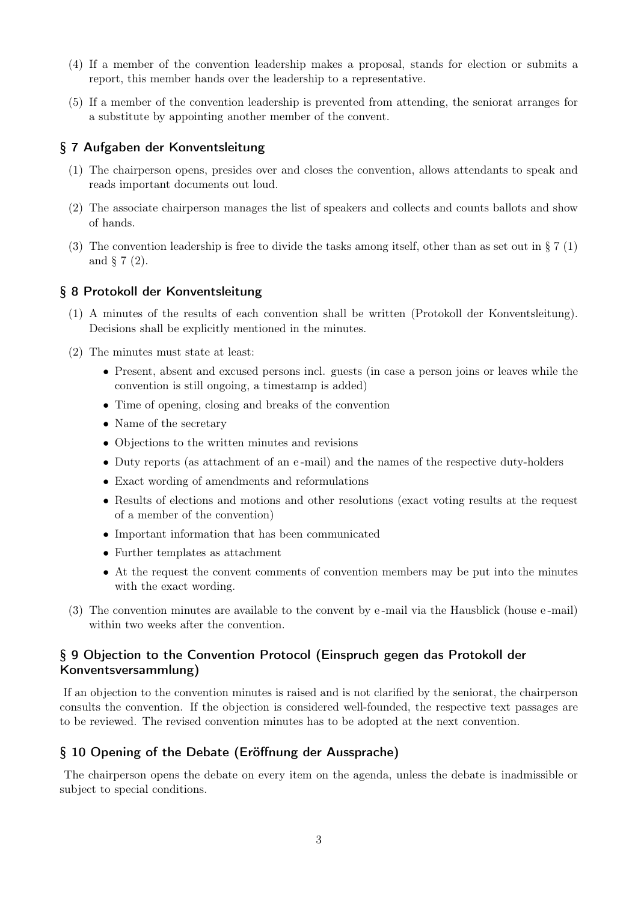- (4) If a member of the convention leadership makes a proposal, stands for election or submits a report, this member hands over the leadership to a representative.
- (5) If a member of the convention leadership is prevented from attending, the seniorat arranges for a substitute by appointing another member of the convent.

#### § 7 Aufgaben der Konventsleitung

- (1) The chairperson opens, presides over and closes the convention, allows attendants to speak and reads important documents out loud.
- (2) The associate chairperson manages the list of speakers and collects and counts ballots and show of hands.
- (3) The convention leadership is free to divide the tasks among itself, other than as set out in  $\S 7(1)$ and § 7 (2).

## § 8 Protokoll der Konventsleitung

- (1) A minutes of the results of each convention shall be written (Protokoll der Konventsleitung). Decisions shall be explicitly mentioned in the minutes.
- (2) The minutes must state at least:
	- Present, absent and excused persons incl. guests (in case a person joins or leaves while the convention is still ongoing, a timestamp is added)
	- Time of opening, closing and breaks of the convention
	- Name of the secretary
	- Objections to the written minutes and revisions
	- Duty reports (as attachment of an e -mail) and the names of the respective duty-holders
	- Exact wording of amendments and reformulations
	- Results of elections and motions and other resolutions (exact voting results at the request of a member of the convention)
	- Important information that has been communicated
	- Further templates as attachment
	- At the request the convent comments of convention members may be put into the minutes with the exact wording.
- (3) The convention minutes are available to the convent by e -mail via the Hausblick (house e -mail) within two weeks after the convention.

# § 9 Objection to the Convention Protocol (Einspruch gegen das Protokoll der Konventsversammlung)

If an objection to the convention minutes is raised and is not clarified by the seniorat, the chairperson consults the convention. If the objection is considered well-founded, the respective text passages are to be reviewed. The revised convention minutes has to be adopted at the next convention.

#### § 10 Opening of the Debate (Eröffnung der Aussprache)

The chairperson opens the debate on every item on the agenda, unless the debate is inadmissible or subject to special conditions.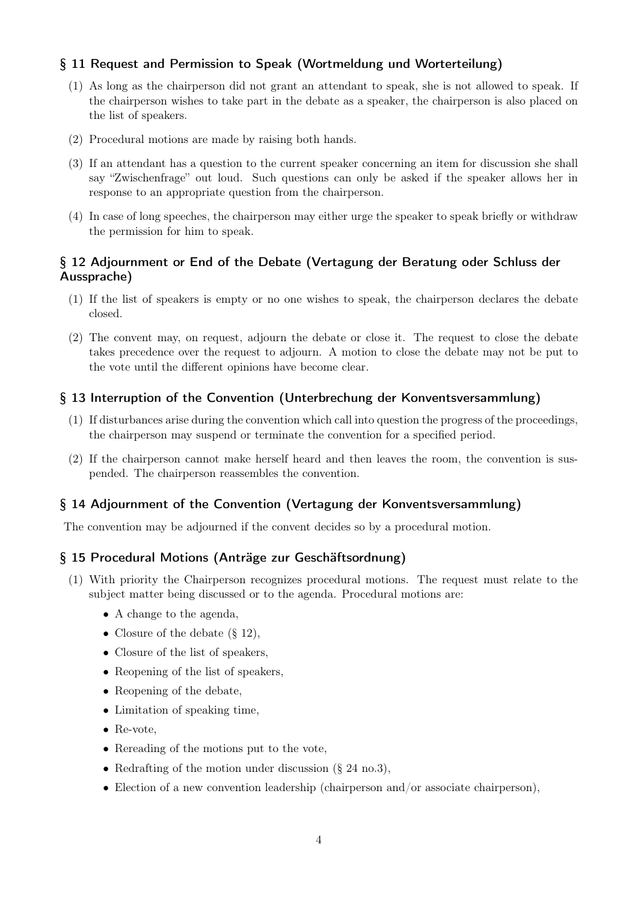## § 11 Request and Permission to Speak (Wortmeldung und Worterteilung)

- (1) As long as the chairperson did not grant an attendant to speak, she is not allowed to speak. If the chairperson wishes to take part in the debate as a speaker, the chairperson is also placed on the list of speakers.
- (2) Procedural motions are made by raising both hands.
- (3) If an attendant has a question to the current speaker concerning an item for discussion she shall say "Zwischenfrage" out loud. Such questions can only be asked if the speaker allows her in response to an appropriate question from the chairperson.
- (4) In case of long speeches, the chairperson may either urge the speaker to speak briefly or withdraw the permission for him to speak.

#### § 12 Adjournment or End of the Debate (Vertagung der Beratung oder Schluss der Aussprache)

- (1) If the list of speakers is empty or no one wishes to speak, the chairperson declares the debate closed.
- (2) The convent may, on request, adjourn the debate or close it. The request to close the debate takes precedence over the request to adjourn. A motion to close the debate may not be put to the vote until the different opinions have become clear.

#### § 13 Interruption of the Convention (Unterbrechung der Konventsversammlung)

- (1) If disturbances arise during the convention which call into question the progress of the proceedings, the chairperson may suspend or terminate the convention for a specified period.
- (2) If the chairperson cannot make herself heard and then leaves the room, the convention is suspended. The chairperson reassembles the convention.

#### § 14 Adjournment of the Convention (Vertagung der Konventsversammlung)

The convention may be adjourned if the convent decides so by a procedural motion.

#### § 15 Procedural Motions (Anträge zur Geschäftsordnung)

- (1) With priority the Chairperson recognizes procedural motions. The request must relate to the subject matter being discussed or to the agenda. Procedural motions are:
	- A change to the agenda,
	- Closure of the debate  $(\S 12)$ ,
	- Closure of the list of speakers,
	- Reopening of the list of speakers,
	- Reopening of the debate,
	- Limitation of speaking time,
	- Re-vote,
	- Rereading of the motions put to the vote,
	- Redrafting of the motion under discussion (§ 24 no.3),
	- Election of a new convention leadership (chairperson and/or associate chairperson),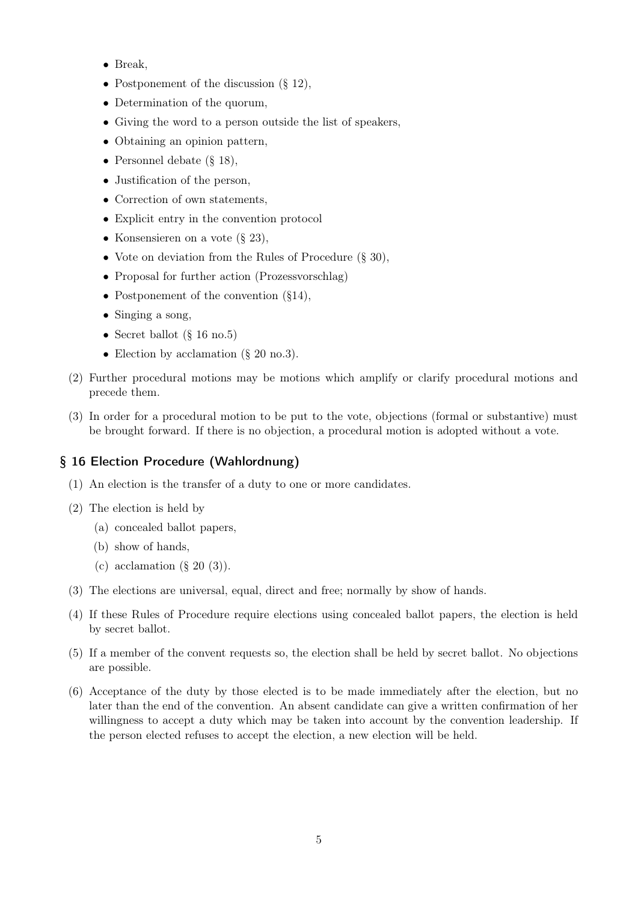- Break,
- Postponement of the discussion  $(\S 12)$ ,
- Determination of the quorum,
- Giving the word to a person outside the list of speakers,
- Obtaining an opinion pattern,
- Personnel debate (§ 18),
- Justification of the person,
- Correction of own statements,
- Explicit entry in the convention protocol
- Konsensieren on a vote  $(\S 23)$ ,
- Vote on deviation from the Rules of Procedure (§ 30),
- Proposal for further action (Prozessvorschlag)
- Postponement of the convention  $(\S14)$ ,
- Singing a song,
- Secret ballot (§ 16 no.5)
- Election by acclamation (§ 20 no.3).
- (2) Further procedural motions may be motions which amplify or clarify procedural motions and precede them.
- (3) In order for a procedural motion to be put to the vote, objections (formal or substantive) must be brought forward. If there is no objection, a procedural motion is adopted without a vote.

# § 16 Election Procedure (Wahlordnung)

- (1) An election is the transfer of a duty to one or more candidates.
- (2) The election is held by
	- (a) concealed ballot papers,
	- (b) show of hands,
	- (c) acclamation  $(\S 20 (3))$ .
- (3) The elections are universal, equal, direct and free; normally by show of hands.
- (4) If these Rules of Procedure require elections using concealed ballot papers, the election is held by secret ballot.
- (5) If a member of the convent requests so, the election shall be held by secret ballot. No objections are possible.
- (6) Acceptance of the duty by those elected is to be made immediately after the election, but no later than the end of the convention. An absent candidate can give a written confirmation of her willingness to accept a duty which may be taken into account by the convention leadership. If the person elected refuses to accept the election, a new election will be held.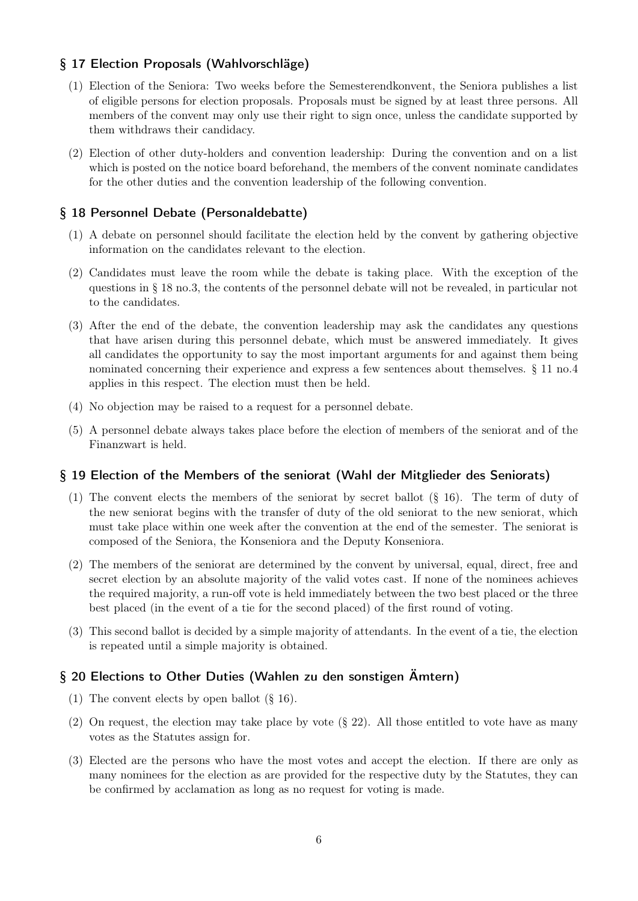# § 17 Election Proposals (Wahlvorschläge)

- (1) Election of the Seniora: Two weeks before the Semesterendkonvent, the Seniora publishes a list of eligible persons for election proposals. Proposals must be signed by at least three persons. All members of the convent may only use their right to sign once, unless the candidate supported by them withdraws their candidacy.
- (2) Election of other duty-holders and convention leadership: During the convention and on a list which is posted on the notice board beforehand, the members of the convent nominate candidates for the other duties and the convention leadership of the following convention.

# § 18 Personnel Debate (Personaldebatte)

- (1) A debate on personnel should facilitate the election held by the convent by gathering objective information on the candidates relevant to the election.
- (2) Candidates must leave the room while the debate is taking place. With the exception of the questions in § 18 no.3, the contents of the personnel debate will not be revealed, in particular not to the candidates.
- (3) After the end of the debate, the convention leadership may ask the candidates any questions that have arisen during this personnel debate, which must be answered immediately. It gives all candidates the opportunity to say the most important arguments for and against them being nominated concerning their experience and express a few sentences about themselves. § 11 no.4 applies in this respect. The election must then be held.
- (4) No objection may be raised to a request for a personnel debate.
- (5) A personnel debate always takes place before the election of members of the seniorat and of the Finanzwart is held.

# § 19 Election of the Members of the seniorat (Wahl der Mitglieder des Seniorats)

- (1) The convent elects the members of the seniorat by secret ballot (§ 16). The term of duty of the new seniorat begins with the transfer of duty of the old seniorat to the new seniorat, which must take place within one week after the convention at the end of the semester. The seniorat is composed of the Seniora, the Konseniora and the Deputy Konseniora.
- (2) The members of the seniorat are determined by the convent by universal, equal, direct, free and secret election by an absolute majority of the valid votes cast. If none of the nominees achieves the required majority, a run-off vote is held immediately between the two best placed or the three best placed (in the event of a tie for the second placed) of the first round of voting.
- (3) This second ballot is decided by a simple majority of attendants. In the event of a tie, the election is repeated until a simple majority is obtained.

# § 20 Elections to Other Duties (Wahlen zu den sonstigen Ämtern)

- (1) The convent elects by open ballot (§ 16).
- (2) On request, the election may take place by vote (§ 22). All those entitled to vote have as many votes as the Statutes assign for.
- (3) Elected are the persons who have the most votes and accept the election. If there are only as many nominees for the election as are provided for the respective duty by the Statutes, they can be confirmed by acclamation as long as no request for voting is made.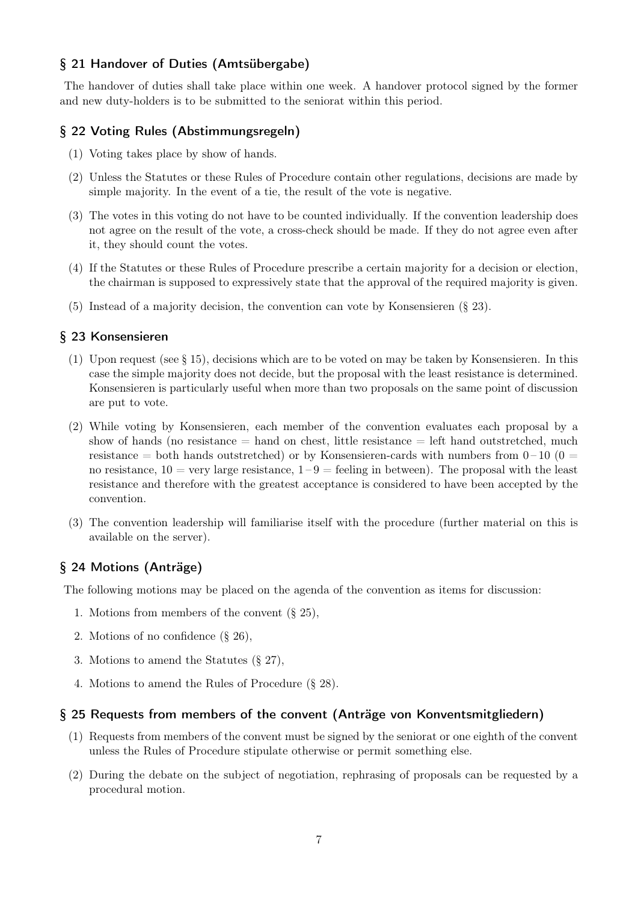## § 21 Handover of Duties (Amtsübergabe)

The handover of duties shall take place within one week. A handover protocol signed by the former and new duty-holders is to be submitted to the seniorat within this period.

## § 22 Voting Rules (Abstimmungsregeln)

- (1) Voting takes place by show of hands.
- (2) Unless the Statutes or these Rules of Procedure contain other regulations, decisions are made by simple majority. In the event of a tie, the result of the vote is negative.
- (3) The votes in this voting do not have to be counted individually. If the convention leadership does not agree on the result of the vote, a cross-check should be made. If they do not agree even after it, they should count the votes.
- (4) If the Statutes or these Rules of Procedure prescribe a certain majority for a decision or election, the chairman is supposed to expressively state that the approval of the required majority is given.
- (5) Instead of a majority decision, the convention can vote by Konsensieren (§ 23).

## § 23 Konsensieren

- (1) Upon request (see § 15), decisions which are to be voted on may be taken by Konsensieren. In this case the simple majority does not decide, but the proposal with the least resistance is determined. Konsensieren is particularly useful when more than two proposals on the same point of discussion are put to vote.
- (2) While voting by Konsensieren, each member of the convention evaluates each proposal by a show of hands (no resistance  $=$  hand on chest, little resistance  $=$  left hand outstretched, much resistance = both hands outstretched) or by Konsensieren-cards with numbers from  $0-10$  ( $0=$ no resistance,  $10 = \text{very large resistance}, 1 - 9 = \text{feeling in between}$ . The proposal with the least resistance and therefore with the greatest acceptance is considered to have been accepted by the convention.
- (3) The convention leadership will familiarise itself with the procedure (further material on this is available on the server).

# § 24 Motions (Anträge)

The following motions may be placed on the agenda of the convention as items for discussion:

- 1. Motions from members of the convent (§ 25),
- 2. Motions of no confidence (§ 26),
- 3. Motions to amend the Statutes (§ 27),
- 4. Motions to amend the Rules of Procedure (§ 28).

#### § 25 Requests from members of the convent (Anträge von Konventsmitgliedern)

- (1) Requests from members of the convent must be signed by the seniorat or one eighth of the convent unless the Rules of Procedure stipulate otherwise or permit something else.
- (2) During the debate on the subject of negotiation, rephrasing of proposals can be requested by a procedural motion.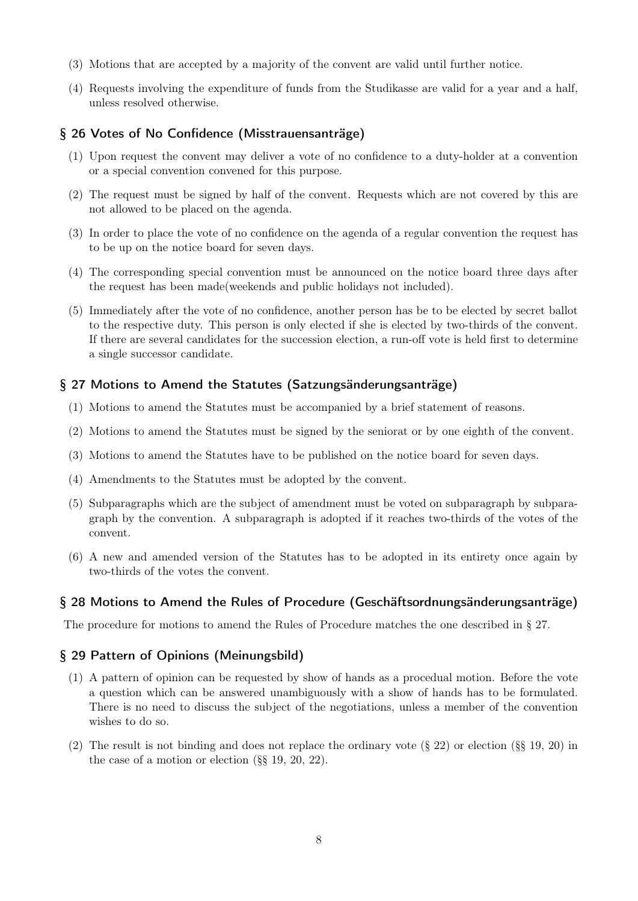- (3) Motions that are accepted by a majority of the convent are valid until further notice.
- (4) Requests involving the expenditure of funds from the Studikasse are valid for a year and a half, unless resolved otherwise.

#### § 26 Votes of No Confidence (Misstrauensanträge)

- (1) Upon request the convent may deliver a vote of no confidence to a duty-holder at a convention or a special convention convened for this purpose.
- (2) The request must be signed by half of the convent. Requests which are not covered by this are not allowed to be placed on the agenda.
- (3) In order to place the vote of no confidence on the agenda of a regular convention the request has to be up on the notice board for seven days.
- (4) The corresponding special convention must be announced on the notice board three days after the request has been made(weekends and public holidays not included).
- (5) Immediately after the vote of no confidence, another person has be to be elected by secret ballot to the respective duty. This person is only elected if she is elected by two-thirds of the convent. If there are several candidates for the succession election, a run-off vote is held first to determine a single successor candidate.

#### § 27 Motions to Amend the Statutes (Satzungsänderungsanträge)

- (1) Motions to amend the Statutes must be accompanied by a brief statement of reasons.
- (2) Motions to amend the Statutes must be signed by the seniorat or by one eighth of the convent.
- (3) Motions to amend the Statutes have to be published on the notice board for seven days.
- (4) Amendments to the Statutes must be adopted by the convent.
- (5) Subparagraphs which are the subject of amendment must be voted on subparagraph by subparagraph by the convention. A subparagraph is adopted if it reaches two-thirds of the votes of the convent.
- (6) A new and amended version of the Statutes has to be adopted in its entirety once again by two-thirds of the votes the convent.

#### § 28 Motions to Amend the Rules of Procedure (Geschäftsordnungsänderungsanträge)

The procedure for motions to amend the Rules of Procedure matches the one described in § 27.

#### § 29 Pattern of Opinions (Meinungsbild)

- (1) A pattern of opinion can be requested by show of hands as a procedual motion. Before the vote a question which can be answered unambiguously with a show of hands has to be formulated. There is no need to discuss the subject of the negotiations, unless a member of the convention wishes to do so.
- (2) The result is not binding and does not replace the ordinary vote (§ 22) or election (§§ 19, 20) in the case of a motion or election (§§ 19, 20, 22).